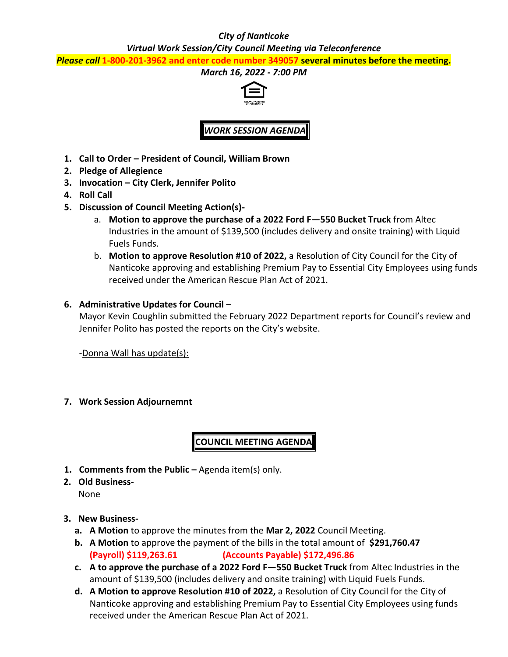### *City of Nanticoke*

*Virtual Work Session/City Council Meeting via Teleconference*

*Please call* **1-800-201-3962 and enter code number 349057 several minutes before the meeting.**

### *March 16, 2022 - 7:00 PM*



*WORK SESSION AGENDA*

- **1. Call to Order – President of Council, William Brown**
- **2. Pledge of Allegience**
- **3. Invocation – City Clerk, Jennifer Polito**
- **4. Roll Call**
- **5. Discussion of Council Meeting Action(s)**
	- a. **Motion to approve the purchase of a 2022 Ford F—550 Bucket Truck** from Altec Industries in the amount of \$139,500 (includes delivery and onsite training) with Liquid Fuels Funds.
	- b. **Motion to approve Resolution #10 of 2022,** a Resolution of City Council for the City of Nanticoke approving and establishing Premium Pay to Essential City Employees using funds received under the American Rescue Plan Act of 2021.

### **6. Administrative Updates for Council –**

Mayor Kevin Coughlin submitted the February 2022 Department reports for Council's review and Jennifer Polito has posted the reports on the City's website.

-Donna Wall has update(s):

### **7. Work Session Adjournemnt**

## **COUNCIL MEETING AGENDA**

- **1. Comments from the Public –** Agenda item(s) only.
- **2. Old Business-**None

### **3. New Business-**

- **a. A Motion** to approve the minutes from the **Mar 2, 2022** Council Meeting.
- **b. A Motion** to approve the payment of the bills in the total amount of **\$291,760.47 (Payroll) \$119,263.61 (Accounts Payable) \$172,496.86**
- **c. A to approve the purchase of a 2022 Ford F—550 Bucket Truck** from Altec Industries in the amount of \$139,500 (includes delivery and onsite training) with Liquid Fuels Funds.
- **d. A Motion to approve Resolution #10 of 2022,** a Resolution of City Council for the City of Nanticoke approving and establishing Premium Pay to Essential City Employees using funds received under the American Rescue Plan Act of 2021.